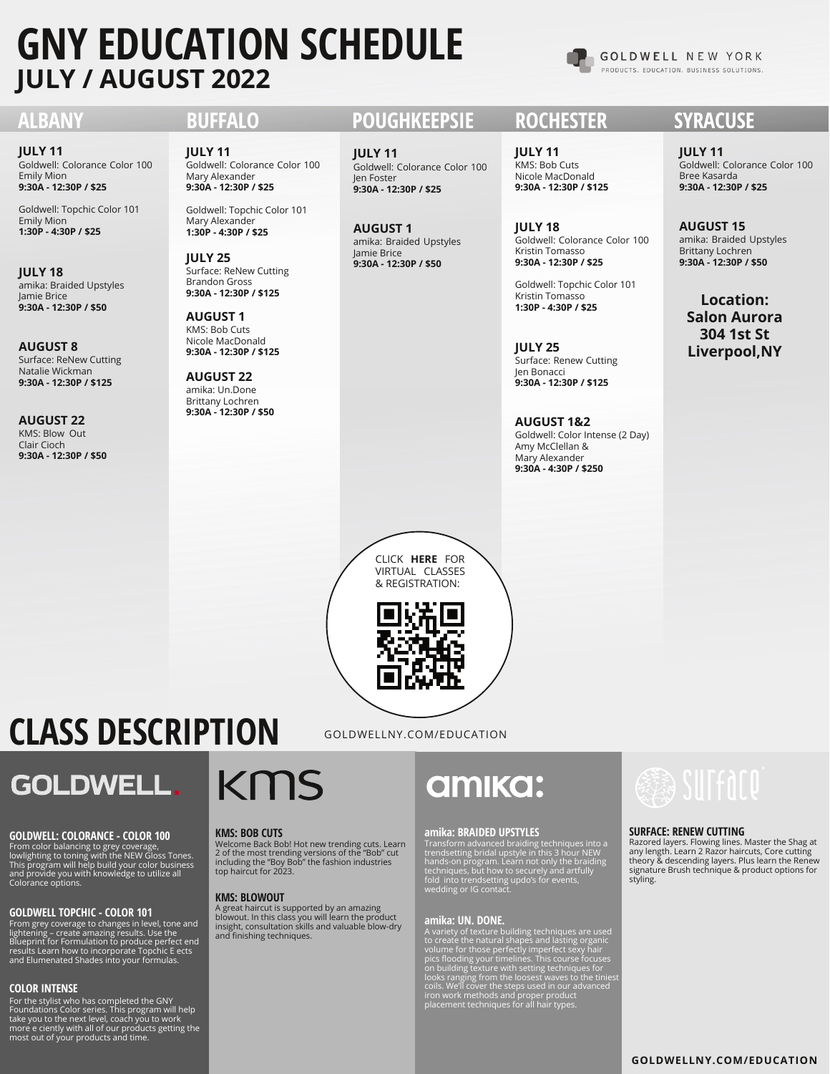# **GNY EDUCATION SCHEDULE JULY / AUGUST 2022**

**GOLDWELL NEW YORK** PRODUCTS. EDUCATION. BUSINESS SOLUTIONS.

Goldwell: Colorance Color 100 Emily Mion **9:30A - 12:30P / \$25 JULY 11**

Goldwell: Topchic Color 101 Emily Mion **1:30P - 4:30P / \$25**

amika: Braided Upstyles Jamie Brice **9:30A - 12:30P / \$50 JULY 18**

Surface: ReNew Cutting Natalie Wickman **9:30A - 12:30P / \$125 AUGUST 8**

KMS: Blow Out Clair Cioch **9:30A - 12:30P / \$50 AUGUST 22**

Goldwell: Colorance Color 100 Mary Alexander **9:30A - 12:30P / \$25 JULY 11**

Goldwell: Topchic Color 101 Mary Alexander **1:30P - 4:30P / \$25**

Surface: ReNew Cutting Brandon Gross **9:30A - 12:30P / \$125 JULY 25**

KMS: Bob Cuts Nicole MacDonald **9:30A - 12:30P / \$125 AUGUST 1**

amika: Un.Done Brittany Lochren **9:30A - 12:30P / \$50 AUGUST 22**

## **ALBANY BUFFALO POUGHKEEPSIE ROCHESTER SYRACUSE**

Goldwell: Colorance Color 100 Jen Foster **9:30A - 12:30P / \$25 JULY 11**

amika: Braided Upstyles Jamie Brice **9:30A - 12:30P / \$50 AUGUST 1**

KMS: Bob Cuts Nicole MacDonald **9:30A - 12:30P / \$125 JULY 11**

Goldwell: Colorance Color 100 Kristin Tomasso **9:30A - 12:30P / \$25 JULY 18**

Goldwell: Topchic Color 101 Kristin Tomasso **1:30P - 4:30P / \$25**

Surface: Renew Cutting Jen Bonacci **9:30A - 12:30P / \$125 JULY 25**

Goldwell: Color Intense (2 Day) Amy McClellan & Mary Alexander **9:30A - 4:30P / \$250 AUGUST 1&2**

Goldwell: Colorance Color 100 Bree Kasarda **9:30A - 12:30P / \$25 JULY 11**

amika: Braided Upstyles Brittany Lochren **9:30A - 12:30P / \$50 AUGUST 15**

**Location: Salon Aurora 304 1st St Liverpool,NY**

## CLICK **HERE** FOR VIRTUAL CLASSES & REGISTRATION:



GOLDWELLNY.COM/EDUCATION

**CLASS DESCRIPTION**

## **GOLDWELL.**

## **GOLDWELL: COLORANCE - COLOR 100 KMS: BOB CUTS**

From color balancing to grey coverage, lowlighting to toning with the NEW Gloss Tones. This program will help build your color business and provide you with knowledge to utilize all Colorance options.

## **GOLDWELL TOPCHIC - COLOR 101**

From grey coverage to changes in level, tone and<br>lightening – create amazing results. Use the<br>Blueprint for Formulation to produce perfect end<br>results Learn how to incorporate Topchic E ects<br>and Elumenated Shades into your

## **COLOR INTENSE**

For the stylist who has completed the GNY Foundations Color series. This program will help take you to the next level, coach you to work more e ciently with all of our products getting the most out of your products and time.

# KMS

Welcome Back Bob! Hot new trending cuts. Learn 2 of the most trending versions of the "Bob" cut including the "Boy Bob" the fashion industries top haircut for 2023.

## **KMS: BLOWOUT**

A great haircut is supported by an amazing blowout. In this class you will learn the product insight, consultation skills and valuable blow-dry and finishing techniques.

# **amika:**

## **amika: BRAIDED UPSTYLES SURFACE: RENEW CUTTING**

Transform advanced braiding techniques into a<br>trendsetting bridal upstyle in this 3 hour NEW<br>hands-on program. Learn not only the braiding<br>techniques, but how to securely and artfully<br>fold into trendsetting updo's for even

## **amika: UN. DONE.**

A variety of texture building techniques are used<br>to create the natural shapes and lasting organic<br>volume for those perfectly imperfect sexy hair<br>pics flooding your timelines. This course focuses<br>on building texture with s



Razored layers. Flowing lines. Master the Shag at<br>any length. Learn 2 Razor haircuts, Core cutting<br>theory & descending layers. Plus learn the Renew<br>signature Brush technique & product options for styling.